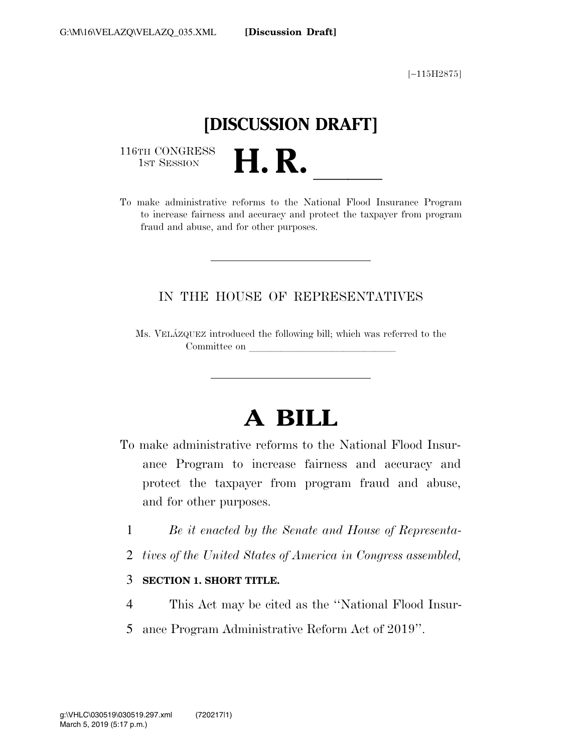[∼115H2875]

## **[DISCUSSION DRAFT]**

116TH CONGRESS<br>1st Session

116TH CONGRESS<br>
1ST SESSION<br>
To make administrative reforms to the National Flood Insurance Program to increase fairness and accuracy and protect the taxpayer from program fraud and abuse, and for other purposes.

### IN THE HOUSE OF REPRESENTATIVES

Ms. VELA´ZQUEZ introduced the following bill; which was referred to the Committee on

## **A BILL**

- To make administrative reforms to the National Flood Insurance Program to increase fairness and accuracy and protect the taxpayer from program fraud and abuse, and for other purposes.
	- 1 *Be it enacted by the Senate and House of Representa-*
	- 2 *tives of the United States of America in Congress assembled,*

#### 3 **SECTION 1. SHORT TITLE.**

- 4 This Act may be cited as the ''National Flood Insur-
- 5 ance Program Administrative Reform Act of 2019''.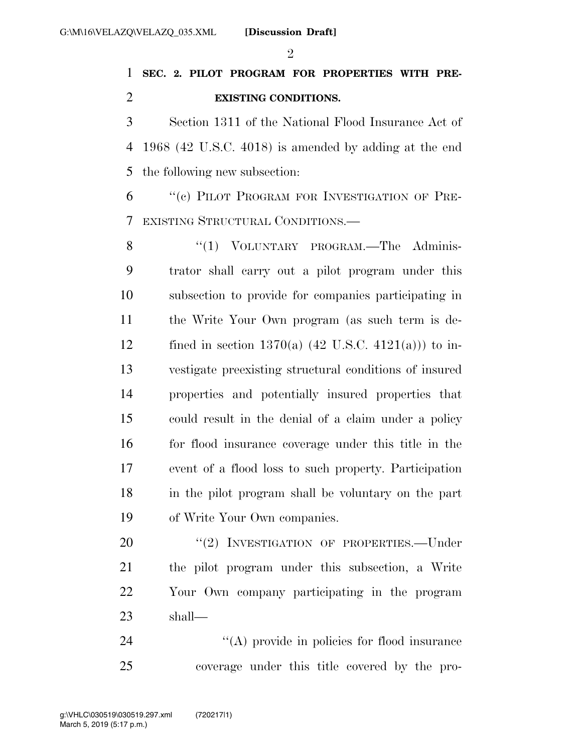### **SEC. 2. PILOT PROGRAM FOR PROPERTIES WITH PRE-EXISTING CONDITIONS.**

 Section 1311 of the National Flood Insurance Act of 1968 (42 U.S.C. 4018) is amended by adding at the end the following new subsection:

 ''(c) PILOT PROGRAM FOR INVESTIGATION OF PRE-EXISTING STRUCTURAL CONDITIONS.—

8 "(1) VOLUNTARY PROGRAM.—The Adminis- trator shall carry out a pilot program under this subsection to provide for companies participating in the Write Your Own program (as such term is de-12 fined in section 1370(a)  $(42 \text{ U.S.C. } 4121(a))$  to in- vestigate preexisting structural conditions of insured properties and potentially insured properties that could result in the denial of a claim under a policy for flood insurance coverage under this title in the event of a flood loss to such property. Participation in the pilot program shall be voluntary on the part of Write Your Own companies.

20 "(2) INVESTIGATION OF PROPERTIES.—Under the pilot program under this subsection, a Write Your Own company participating in the program shall—

24  $\langle (A) \rangle$  provide in policies for flood insurance coverage under this title covered by the pro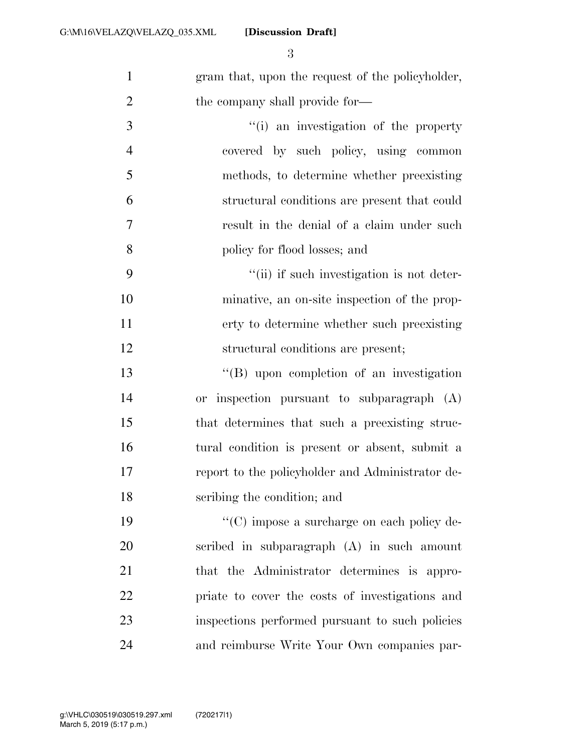**[Discussion Draft]** 

 gram that, upon the request of the policyholder, 2 the company shall provide for—

- 3  $\frac{1}{10}$  an investigation of the property covered by such policy, using common methods, to determine whether preexisting structural conditions are present that could result in the denial of a claim under such policy for flood losses; and
- 9  $\frac{4}{11}$  if such investigation is not deter- minative, an on-site inspection of the prop- erty to determine whether such preexisting structural conditions are present;
- ''(B) upon completion of an investigation or inspection pursuant to subparagraph (A) that determines that such a preexisting struc- tural condition is present or absent, submit a report to the policyholder and Administrator de-scribing the condition; and

 $\cdot$  (C) impose a surcharge on each policy de- scribed in subparagraph (A) in such amount that the Administrator determines is appro- priate to cover the costs of investigations and inspections performed pursuant to such policies and reimburse Write Your Own companies par-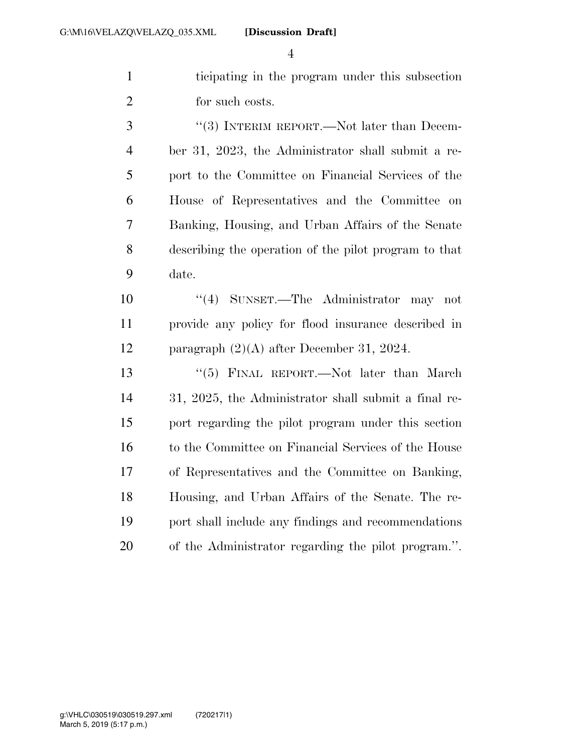ticipating in the program under this subsection for such costs.

3 "(3) INTERIM REPORT.—Not later than Decem- ber 31, 2023, the Administrator shall submit a re- port to the Committee on Financial Services of the House of Representatives and the Committee on Banking, Housing, and Urban Affairs of the Senate describing the operation of the pilot program to that date.

 ''(4) SUNSET.—The Administrator may not provide any policy for flood insurance described in paragraph (2)(A) after December 31, 2024.

13 "(5) FINAL REPORT.—Not later than March 31, 2025, the Administrator shall submit a final re- port regarding the pilot program under this section to the Committee on Financial Services of the House of Representatives and the Committee on Banking, Housing, and Urban Affairs of the Senate. The re- port shall include any findings and recommendations of the Administrator regarding the pilot program.''.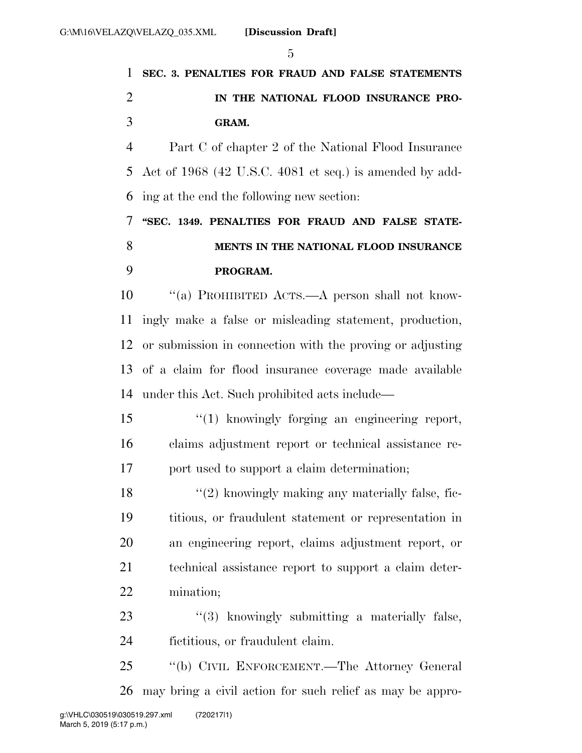## **SEC. 3. PENALTIES FOR FRAUD AND FALSE STATEMENTS IN THE NATIONAL FLOOD INSURANCE PRO-GRAM.**

 Part C of chapter 2 of the National Flood Insurance Act of 1968 (42 U.S.C. 4081 et seq.) is amended by add-ing at the end the following new section:

 **''SEC. 1349. PENALTIES FOR FRAUD AND FALSE STATE- MENTS IN THE NATIONAL FLOOD INSURANCE PROGRAM.** 

 ''(a) PROHIBITED ACTS.—A person shall not know- ingly make a false or misleading statement, production, or submission in connection with the proving or adjusting of a claim for flood insurance coverage made available under this Act. Such prohibited acts include—

 ''(1) knowingly forging an engineering report, claims adjustment report or technical assistance re-port used to support a claim determination;

 ''(2) knowingly making any materially false, fic- titious, or fraudulent statement or representation in an engineering report, claims adjustment report, or technical assistance report to support a claim deter-mination;

23 ''(3) knowingly submitting a materially false, fictitious, or fraudulent claim.

 ''(b) CIVIL ENFORCEMENT.—The Attorney General may bring a civil action for such relief as may be appro-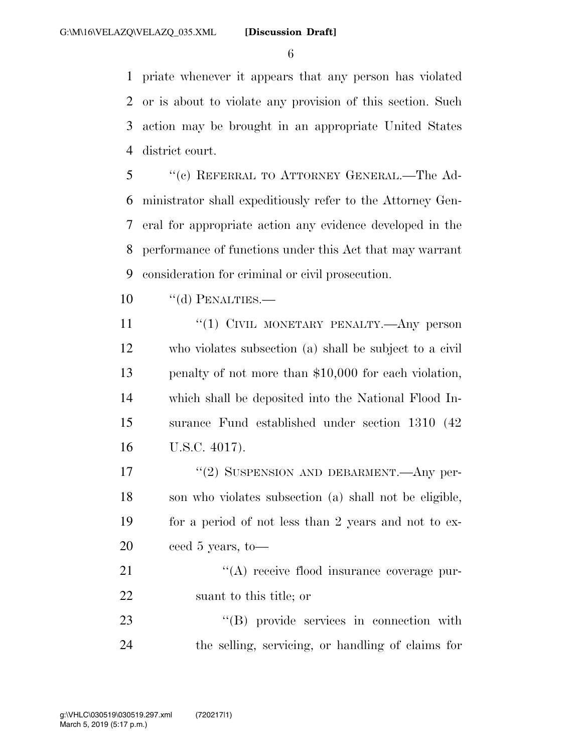priate whenever it appears that any person has violated or is about to violate any provision of this section. Such action may be brought in an appropriate United States district court.

 ''(c) REFERRAL TO ATTORNEY GENERAL.—The Ad- ministrator shall expeditiously refer to the Attorney Gen- eral for appropriate action any evidence developed in the performance of functions under this Act that may warrant consideration for criminal or civil prosecution.

10 "(d) PENALTIES.—

11 "(1) CIVIL MONETARY PENALTY.—Any person who violates subsection (a) shall be subject to a civil penalty of not more than \$10,000 for each violation, which shall be deposited into the National Flood In- surance Fund established under section 1310 (42 U.S.C. 4017).

17 "(2) SUSPENSION AND DEBARMENT.—Any per- son who violates subsection (a) shall not be eligible, for a period of not less than 2 years and not to ex-ceed 5 years, to—

21 "(A) receive flood insurance coverage pur-suant to this title; or

23 ''(B) provide services in connection with the selling, servicing, or handling of claims for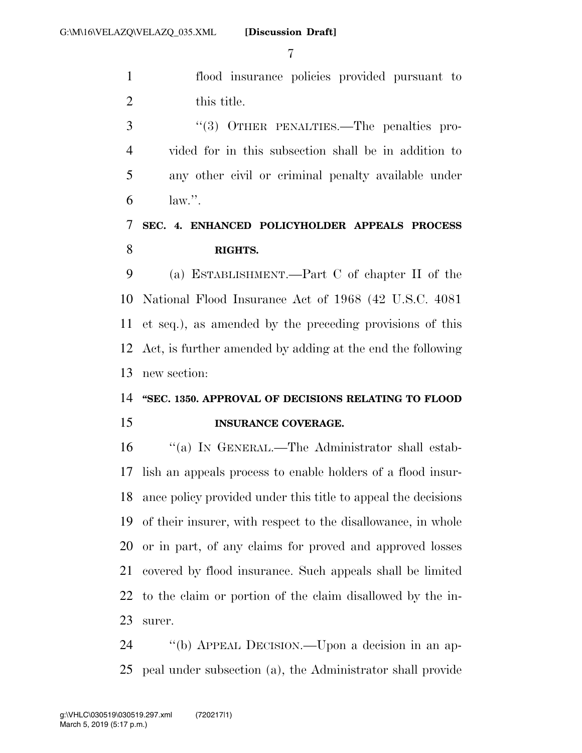flood insurance policies provided pursuant to this title.

3 "(3) OTHER PENALTIES.—The penalties pro- vided for in this subsection shall be in addition to any other civil or criminal penalty available under  $\mathbf{6}$  law.".

### **SEC. 4. ENHANCED POLICYHOLDER APPEALS PROCESS RIGHTS.**

 (a) ESTABLISHMENT.—Part C of chapter II of the National Flood Insurance Act of 1968 (42 U.S.C. 4081 et seq.), as amended by the preceding provisions of this Act, is further amended by adding at the end the following new section:

### **''SEC. 1350. APPROVAL OF DECISIONS RELATING TO FLOOD INSURANCE COVERAGE.**

 ''(a) IN GENERAL.—The Administrator shall estab- lish an appeals process to enable holders of a flood insur- ance policy provided under this title to appeal the decisions of their insurer, with respect to the disallowance, in whole or in part, of any claims for proved and approved losses covered by flood insurance. Such appeals shall be limited to the claim or portion of the claim disallowed by the in-surer.

 ''(b) APPEAL DECISION.—Upon a decision in an ap-peal under subsection (a), the Administrator shall provide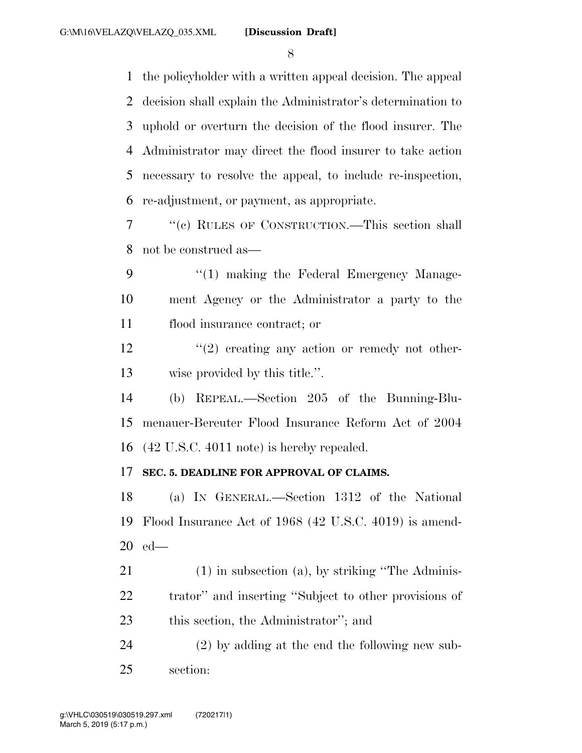the policyholder with a written appeal decision. The appeal decision shall explain the Administrator's determination to uphold or overturn the decision of the flood insurer. The Administrator may direct the flood insurer to take action necessary to resolve the appeal, to include re-inspection, re-adjustment, or payment, as appropriate.

 ''(c) RULES OF CONSTRUCTION.—This section shall not be construed as—

9 "(1) making the Federal Emergency Manage- ment Agency or the Administrator a party to the flood insurance contract; or

 $\frac{12}{2}$  ''(2) creating any action or remedy not other-wise provided by this title.''.

 (b) REPEAL.—Section 205 of the Bunning-Blu- menauer-Bereuter Flood Insurance Reform Act of 2004 (42 U.S.C. 4011 note) is hereby repealed.

### **SEC. 5. DEADLINE FOR APPROVAL OF CLAIMS.**

 (a) IN GENERAL.—Section 1312 of the National Flood Insurance Act of 1968 (42 U.S.C. 4019) is amend-ed—

 (1) in subsection (a), by striking ''The Adminis- trator'' and inserting ''Subject to other provisions of this section, the Administrator''; and

 (2) by adding at the end the following new sub-section: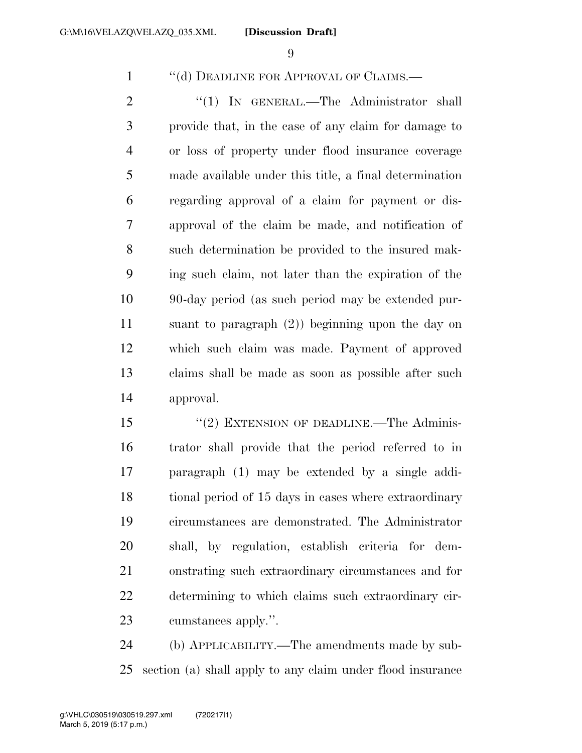1 "(d) DEADLINE FOR APPROVAL OF CLAIMS.—

2 "(1) IN GENERAL.—The Administrator shall provide that, in the case of any claim for damage to or loss of property under flood insurance coverage made available under this title, a final determination regarding approval of a claim for payment or dis- approval of the claim be made, and notification of such determination be provided to the insured mak- ing such claim, not later than the expiration of the 90-day period (as such period may be extended pur- suant to paragraph (2)) beginning upon the day on which such claim was made. Payment of approved claims shall be made as soon as possible after such approval.

15 "(2) EXTENSION OF DEADLINE.—The Adminis- trator shall provide that the period referred to in paragraph (1) may be extended by a single addi-18 tional period of 15 days in cases where extraordinary circumstances are demonstrated. The Administrator shall, by regulation, establish criteria for dem- onstrating such extraordinary circumstances and for determining to which claims such extraordinary cir-cumstances apply.''.

 (b) APPLICABILITY.—The amendments made by sub-section (a) shall apply to any claim under flood insurance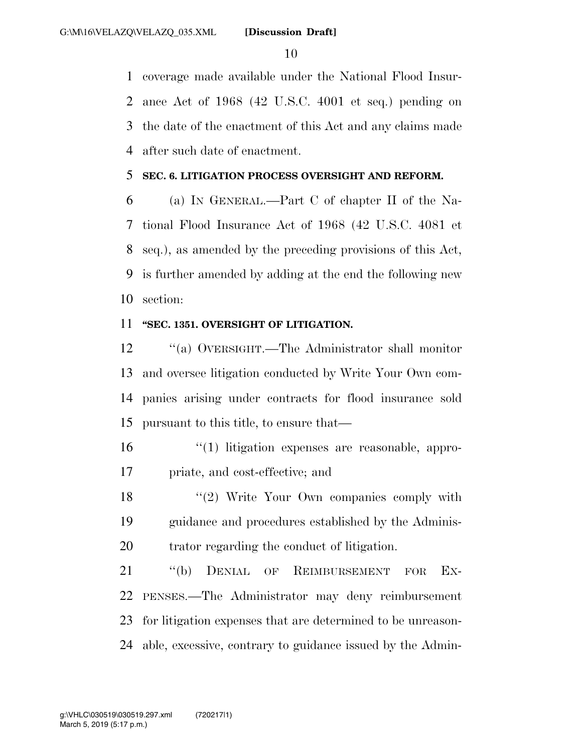coverage made available under the National Flood Insur- ance Act of 1968 (42 U.S.C. 4001 et seq.) pending on the date of the enactment of this Act and any claims made after such date of enactment.

#### **SEC. 6. LITIGATION PROCESS OVERSIGHT AND REFORM.**

 (a) IN GENERAL.—Part C of chapter II of the Na- tional Flood Insurance Act of 1968 (42 U.S.C. 4081 et seq.), as amended by the preceding provisions of this Act, is further amended by adding at the end the following new section:

### **''SEC. 1351. OVERSIGHT OF LITIGATION.**

 ''(a) OVERSIGHT.—The Administrator shall monitor and oversee litigation conducted by Write Your Own com- panies arising under contracts for flood insurance sold pursuant to this title, to ensure that—

- ''(1) litigation expenses are reasonable, appro-priate, and cost-effective; and
- 18 ''(2) Write Your Own companies comply with guidance and procedures established by the Adminis-trator regarding the conduct of litigation.

21 "(b) DENIAL OF REIMBURSEMENT FOR EX- PENSES.—The Administrator may deny reimbursement for litigation expenses that are determined to be unreason-able, excessive, contrary to guidance issued by the Admin-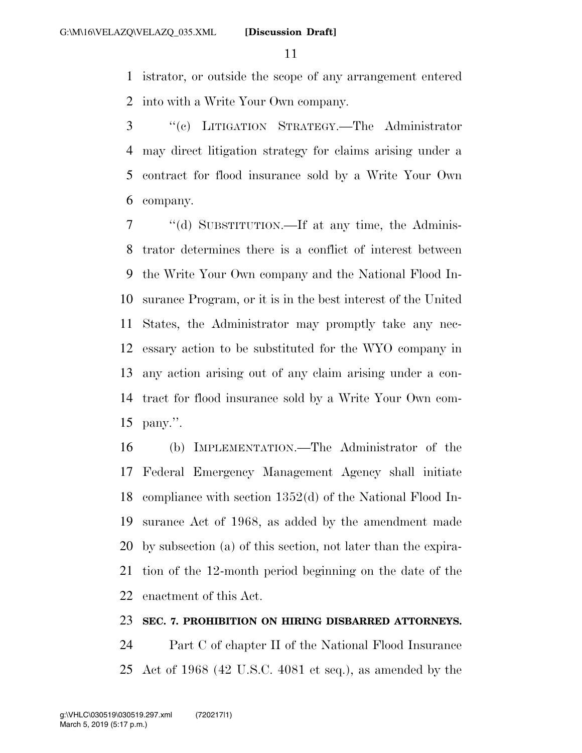istrator, or outside the scope of any arrangement entered into with a Write Your Own company.

 ''(c) LITIGATION STRATEGY.—The Administrator may direct litigation strategy for claims arising under a contract for flood insurance sold by a Write Your Own company.

 ''(d) SUBSTITUTION.—If at any time, the Adminis- trator determines there is a conflict of interest between the Write Your Own company and the National Flood In- surance Program, or it is in the best interest of the United States, the Administrator may promptly take any nec- essary action to be substituted for the WYO company in any action arising out of any claim arising under a con- tract for flood insurance sold by a Write Your Own com-pany.''.

 (b) IMPLEMENTATION.—The Administrator of the Federal Emergency Management Agency shall initiate compliance with section 1352(d) of the National Flood In- surance Act of 1968, as added by the amendment made by subsection (a) of this section, not later than the expira- tion of the 12-month period beginning on the date of the enactment of this Act.

#### **SEC. 7. PROHIBITION ON HIRING DISBARRED ATTORNEYS.**

 Part C of chapter II of the National Flood Insurance Act of 1968 (42 U.S.C. 4081 et seq.), as amended by the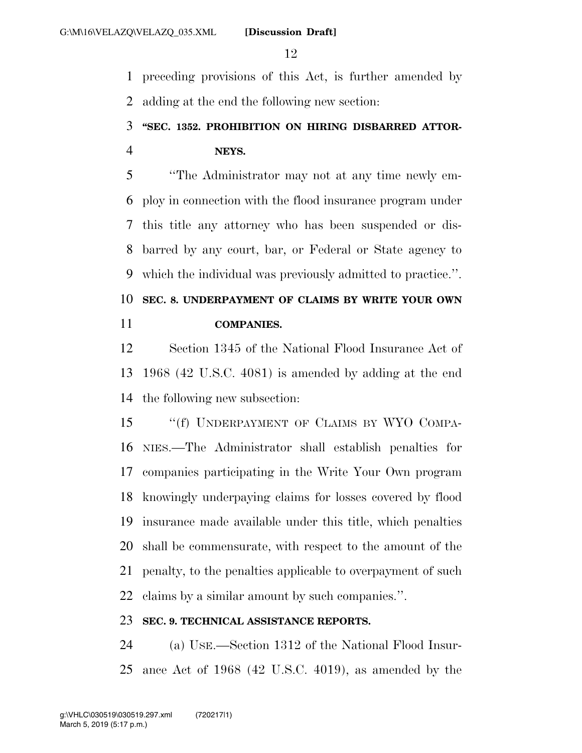preceding provisions of this Act, is further amended by adding at the end the following new section:

### **''SEC. 1352. PROHIBITION ON HIRING DISBARRED ATTOR-NEYS.**

 ''The Administrator may not at any time newly em- ploy in connection with the flood insurance program under this title any attorney who has been suspended or dis- barred by any court, bar, or Federal or State agency to which the individual was previously admitted to practice.''. **SEC. 8. UNDERPAYMENT OF CLAIMS BY WRITE YOUR OWN** 

**COMPANIES.** 

 Section 1345 of the National Flood Insurance Act of 1968 (42 U.S.C. 4081) is amended by adding at the end the following new subsection:

15 "(f) UNDERPAYMENT OF CLAIMS BY WYO COMPA- NIES.—The Administrator shall establish penalties for companies participating in the Write Your Own program knowingly underpaying claims for losses covered by flood insurance made available under this title, which penalties shall be commensurate, with respect to the amount of the penalty, to the penalties applicable to overpayment of such claims by a similar amount by such companies.''.

### **SEC. 9. TECHNICAL ASSISTANCE REPORTS.**

 (a) USE.—Section 1312 of the National Flood Insur-ance Act of 1968 (42 U.S.C. 4019), as amended by the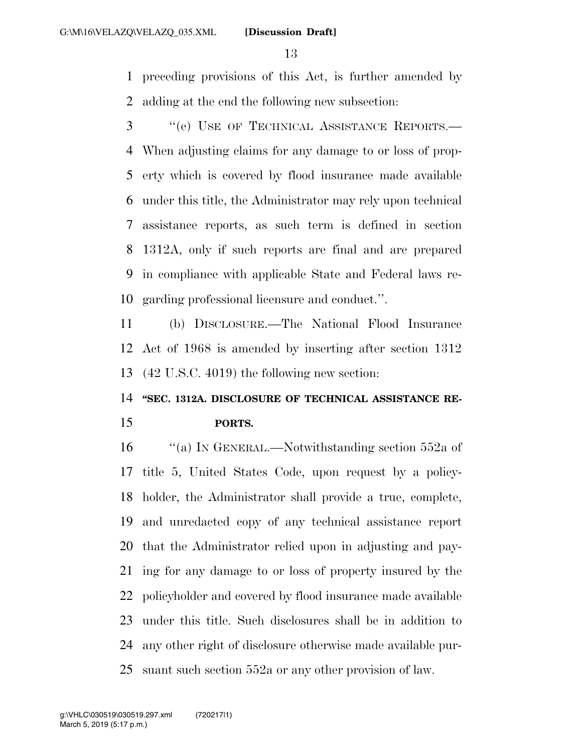preceding provisions of this Act, is further amended by adding at the end the following new subsection:

 ''(e) USE OF TECHNICAL ASSISTANCE REPORTS.— When adjusting claims for any damage to or loss of prop- erty which is covered by flood insurance made available under this title, the Administrator may rely upon technical assistance reports, as such term is defined in section 1312A, only if such reports are final and are prepared in compliance with applicable State and Federal laws re-garding professional licensure and conduct.''.

 (b) DISCLOSURE.—The National Flood Insurance Act of 1968 is amended by inserting after section 1312 (42 U.S.C. 4019) the following new section:

# **''SEC. 1312A. DISCLOSURE OF TECHNICAL ASSISTANCE RE-**

#### **PORTS.**

16 "(a) In GENERAL.—Notwithstanding section 552a of title 5, United States Code, upon request by a policy- holder, the Administrator shall provide a true, complete, and unredacted copy of any technical assistance report that the Administrator relied upon in adjusting and pay- ing for any damage to or loss of property insured by the policyholder and covered by flood insurance made available under this title. Such disclosures shall be in addition to any other right of disclosure otherwise made available pur-suant such section 552a or any other provision of law.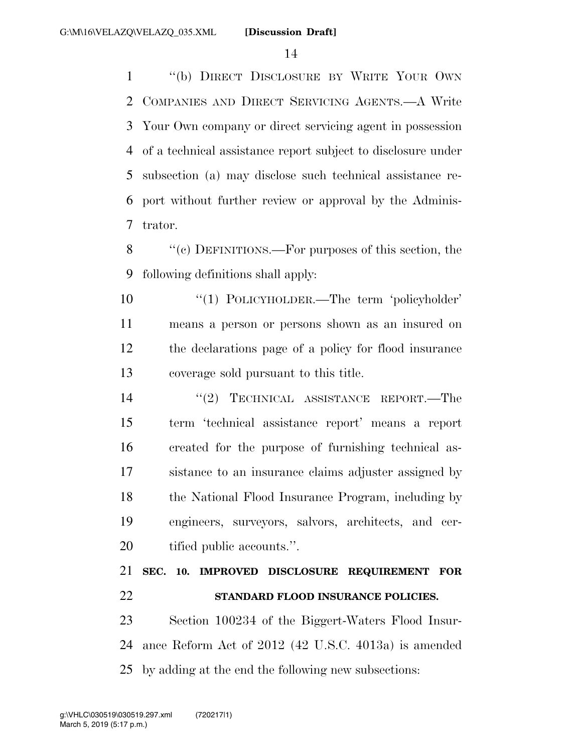''(b) DIRECT DISCLOSURE BY WRITE YOUR OWN COMPANIES AND DIRECT SERVICING AGENTS.—A Write Your Own company or direct servicing agent in possession of a technical assistance report subject to disclosure under subsection (a) may disclose such technical assistance re- port without further review or approval by the Adminis-trator.

 ''(c) DEFINITIONS.—For purposes of this section, the following definitions shall apply:

 ''(1) POLICYHOLDER.—The term 'policyholder' means a person or persons shown as an insured on the declarations page of a policy for flood insurance coverage sold pursuant to this title.

14 "(2) TECHNICAL ASSISTANCE REPORT.—The term 'technical assistance report' means a report created for the purpose of furnishing technical as- sistance to an insurance claims adjuster assigned by 18 the National Flood Insurance Program, including by engineers, surveyors, salvors, architects, and cer-tified public accounts.''.

 **SEC. 10. IMPROVED DISCLOSURE REQUIREMENT FOR STANDARD FLOOD INSURANCE POLICIES.** 

 Section 100234 of the Biggert-Waters Flood Insur- ance Reform Act of 2012 (42 U.S.C. 4013a) is amended by adding at the end the following new subsections: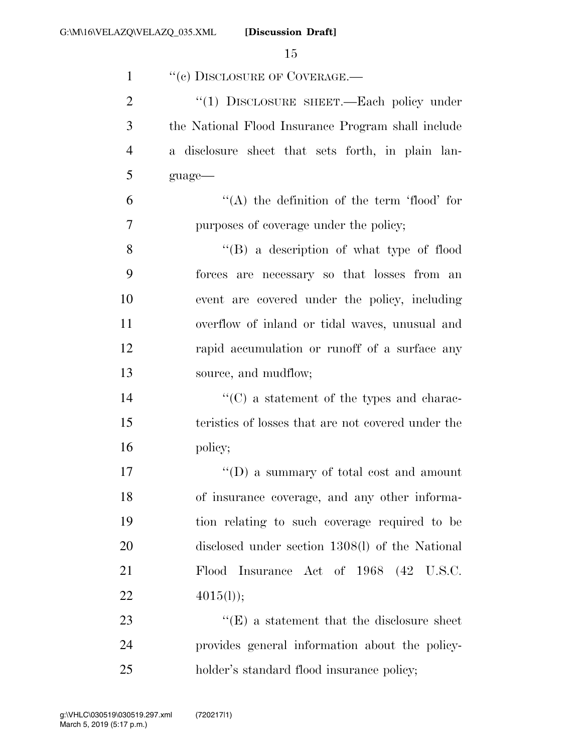| $\mathbf{1}$   | "(c) DISCLOSURE OF COVERAGE.—                         |
|----------------|-------------------------------------------------------|
| $\overline{2}$ | "(1) DISCLOSURE SHEET.—Each policy under              |
| 3              | the National Flood Insurance Program shall include    |
| $\overline{4}$ | a disclosure sheet that sets forth, in plain lan-     |
| 5              | guage-                                                |
| 6              | $\lq\lq$ the definition of the term 'flood' for       |
| 7              | purposes of coverage under the policy;                |
| 8              | $\lq\lq (B)$ a description of what type of flood      |
| 9              | forces are necessary so that losses from an           |
| 10             | event are covered under the policy, including         |
| 11             | overflow of inland or tidal waves, unusual and        |
| 12             | rapid accumulation or runoff of a surface any         |
| 13             | source, and mudflow;                                  |
| 14             | $\cdot\cdot$ (C) a statement of the types and charac- |
| 15             | teristics of losses that are not covered under the    |
| 16             | policy;                                               |
| 17             | $\lq\lq$ asummary of total cost and amount            |
| 18             | of insurance coverage, and any other informa-         |
| 19             | tion relating to such coverage required to be         |
| 20             | disclosed under section 1308(l) of the National       |
| 21             | Flood Insurance Act of 1968 (42 U.S.C.                |
| 22             | 4015(l));                                             |
| 23             | $\lq\lq(E)$ a statement that the disclosure sheet     |
| 24             | provides general information about the policy-        |
| 25             | holder's standard flood insurance policy;             |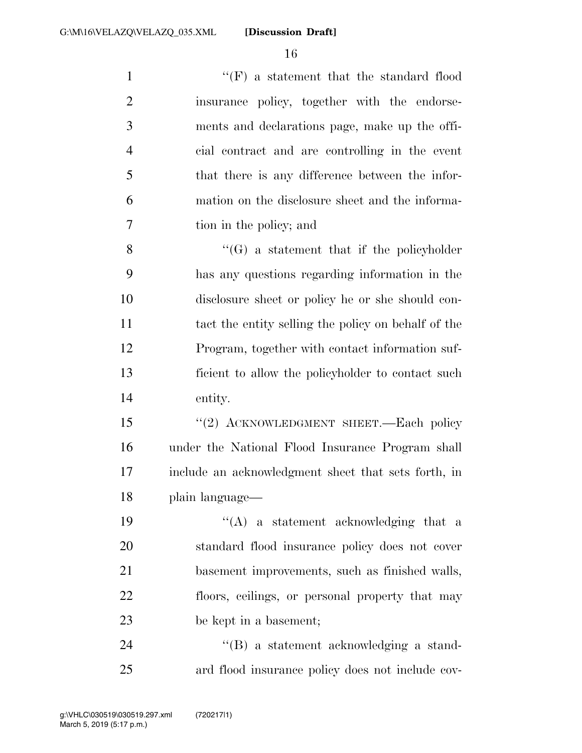1 ''(F) a statement that the standard flood insurance policy, together with the endorse- ments and declarations page, make up the offi- cial contract and are controlling in the event that there is any difference between the infor- mation on the disclosure sheet and the informa-tion in the policy; and

 $\langle G \rangle$  a statement that if the policyholder has any questions regarding information in the disclosure sheet or policy he or she should con- tact the entity selling the policy on behalf of the Program, together with contact information suf- ficient to allow the policyholder to contact such entity.

15 "(2) ACKNOWLEDGMENT SHEET.—Each policy under the National Flood Insurance Program shall include an acknowledgment sheet that sets forth, in plain language—

 $((A)$  a statement acknowledging that a standard flood insurance policy does not cover basement improvements, such as finished walls, floors, ceilings, or personal property that may be kept in a basement;

24 ''(B) a statement acknowledging a stand-ard flood insurance policy does not include cov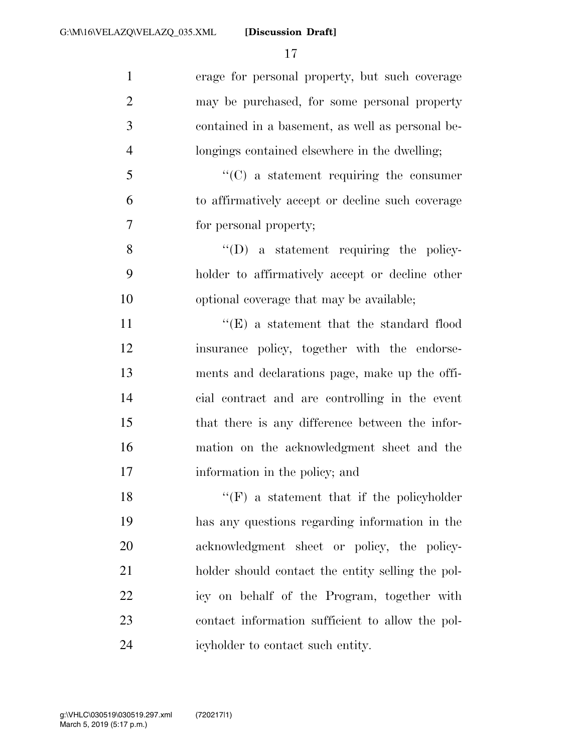**[Discussion Draft]** 

 erage for personal property, but such coverage may be purchased, for some personal property contained in a basement, as well as personal be- longings contained elsewhere in the dwelling; ''(C) a statement requiring the consumer to affirmatively accept or decline such coverage for personal property; 8 ''(D) a statement requiring the policy- holder to affirmatively accept or decline other optional coverage that may be available; 11 ''(E) a statement that the standard flood insurance policy, together with the endorse- ments and declarations page, make up the offi- cial contract and are controlling in the event that there is any difference between the infor- mation on the acknowledgment sheet and the information in the policy; and  $"({\rm F})$  a statement that if the policyholder has any questions regarding information in the acknowledgment sheet or policy, the policy- holder should contact the entity selling the pol- icy on behalf of the Program, together with contact information sufficient to allow the pol-icyholder to contact such entity.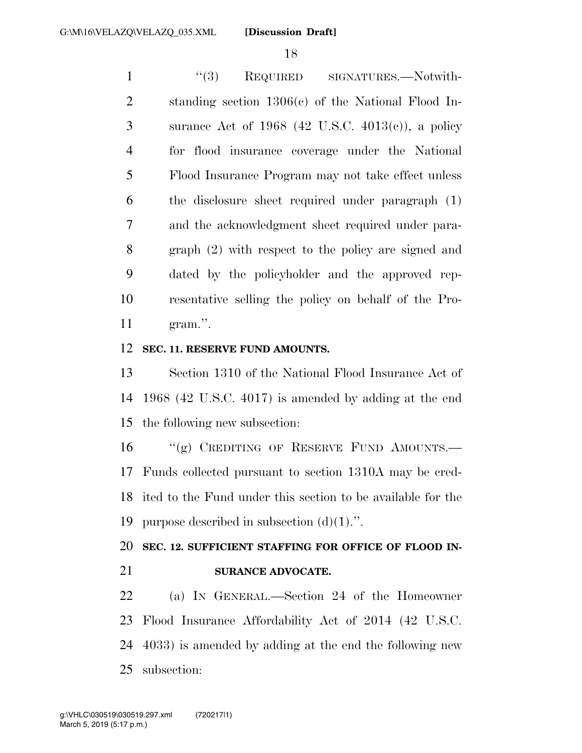1 ''(3) REQUIRED SIGNATURES.—Notwith- standing section 1306(c) of the National Flood In- surance Act of 1968 (42 U.S.C. 4013(c)), a policy for flood insurance coverage under the National Flood Insurance Program may not take effect unless the disclosure sheet required under paragraph (1) and the acknowledgment sheet required under para- graph (2) with respect to the policy are signed and dated by the policyholder and the approved rep- resentative selling the policy on behalf of the Pro-gram.''.

#### **SEC. 11. RESERVE FUND AMOUNTS.**

 Section 1310 of the National Flood Insurance Act of 1968 (42 U.S.C. 4017) is amended by adding at the end the following new subsection:

16 "(g) CREDITING OF RESERVE FUND AMOUNTS.— Funds collected pursuant to section 1310A may be cred- ited to the Fund under this section to be available for the purpose described in subsection (d)(1).''.

### **SEC. 12. SUFFICIENT STAFFING FOR OFFICE OF FLOOD IN-SURANCE ADVOCATE.**

 (a) IN GENERAL.—Section 24 of the Homeowner Flood Insurance Affordability Act of 2014 (42 U.S.C. 4033) is amended by adding at the end the following new subsection: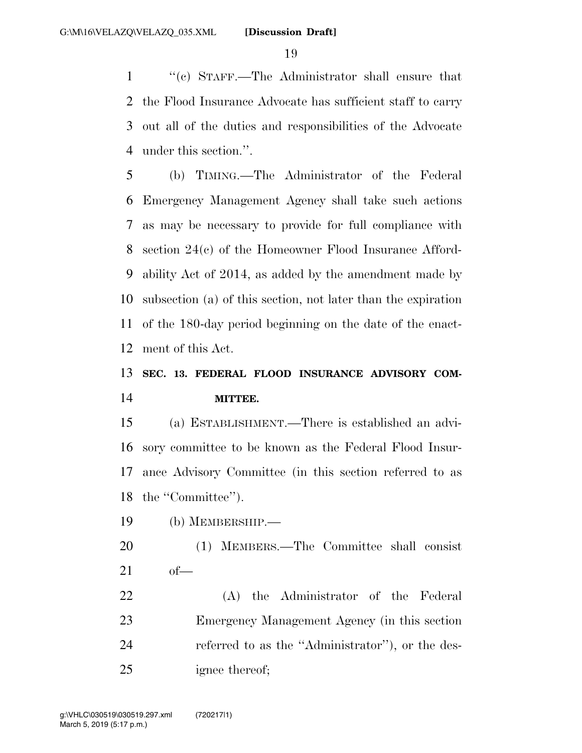''(c) STAFF.—The Administrator shall ensure that the Flood Insurance Advocate has sufficient staff to carry out all of the duties and responsibilities of the Advocate under this section.''.

 (b) TIMING.—The Administrator of the Federal Emergency Management Agency shall take such actions as may be necessary to provide for full compliance with section 24(c) of the Homeowner Flood Insurance Afford- ability Act of 2014, as added by the amendment made by subsection (a) of this section, not later than the expiration of the 180-day period beginning on the date of the enact-ment of this Act.

### **SEC. 13. FEDERAL FLOOD INSURANCE ADVISORY COM-MITTEE.**

 (a) ESTABLISHMENT.—There is established an advi- sory committee to be known as the Federal Flood Insur- ance Advisory Committee (in this section referred to as 18 the "Committee").

(b) MEMBERSHIP.—

- (1) MEMBERS.—The Committee shall consist of—
- (A) the Administrator of the Federal Emergency Management Agency (in this section referred to as the ''Administrator''), or the des-ignee thereof;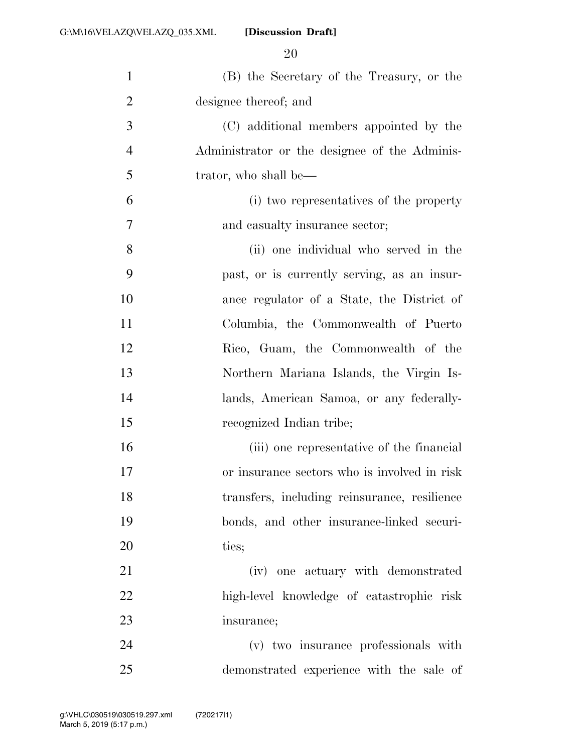**[Discussion Draft]** 

| $\mathbf{1}$   | (B) the Secretary of the Treasury, or the     |
|----------------|-----------------------------------------------|
| $\overline{2}$ | designee thereof; and                         |
| 3              | (C) additional members appointed by the       |
| $\overline{4}$ | Administrator or the designee of the Adminis- |
| 5              | trator, who shall be—                         |
| 6              | (i) two representatives of the property       |
| $\overline{7}$ | and casualty insurance sector;                |
| 8              | (ii) one individual who served in the         |
| 9              | past, or is currently serving, as an insur-   |
| 10             | ance regulator of a State, the District of    |
| 11             | Columbia, the Commonwealth of Puerto          |
| 12             | Rico, Guam, the Commonwealth of the           |
| 13             | Northern Mariana Islands, the Virgin Is-      |
| 14             | lands, American Samoa, or any federally-      |
| 15             | recognized Indian tribe;                      |
| 16             | (iii) one representative of the financial     |
| 17             | or insurance sectors who is involved in risk  |
| 18             | transfers, including reinsurance, resilience  |
| 19             | bonds, and other insurance-linked securi-     |
| 20             | ties;                                         |
| 21             | (iv) one actuary with demonstrated            |
| 22             | high-level knowledge of catastrophic risk     |
| 23             | insurance;                                    |
| 24             | (v) two insurance professionals with          |
| 25             | demonstrated experience with the sale of      |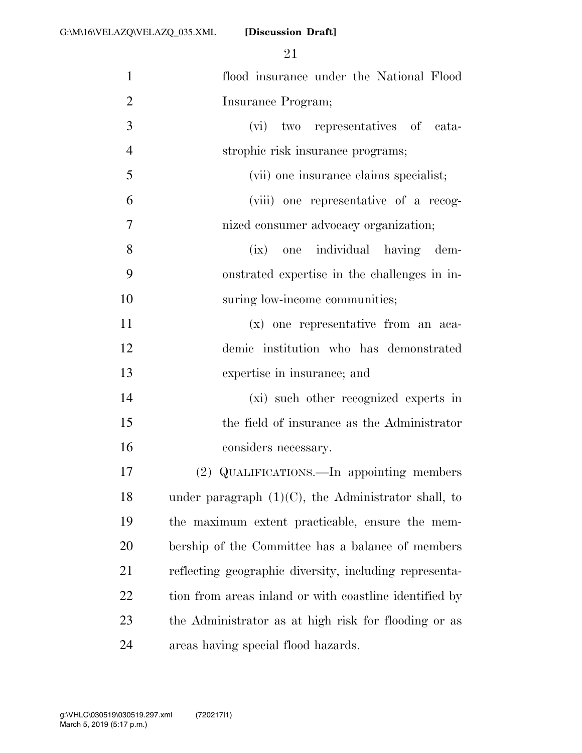**[Discussion Draft]** 

| $\mathbf{1}$   | flood insurance under the National Flood               |
|----------------|--------------------------------------------------------|
| $\overline{2}$ | Insurance Program;                                     |
| 3              | (vi) two representatives of cata-                      |
| $\overline{4}$ | strophic risk insurance programs;                      |
| 5              | (vii) one insurance claims specialist;                 |
| 6              | (viii) one representative of a recog-                  |
| $\tau$         | nized consumer advocacy organization;                  |
| 8              | (ix) one individual having dem-                        |
| 9              | onstrated expertise in the challenges in in-           |
| 10             | suring low-income communities;                         |
| 11             | (x) one representative from an aca-                    |
| 12             | demic institution who has demonstrated                 |
| 13             | expertise in insurance; and                            |
| 14             | (xi) such other recognized experts in                  |
| 15             | the field of insurance as the Administrator            |
| 16             | considers necessary.                                   |
| 17             | (2) QUALIFICATIONS.—In appointing members              |
| 18             | under paragraph $(1)(C)$ , the Administrator shall, to |
| 19             | the maximum extent practicable, ensure the mem-        |
| <b>20</b>      | bership of the Committee has a balance of members      |
| 21             | reflecting geographic diversity, including representa- |
| 22             | tion from areas inland or with coastline identified by |
| 23             | the Administrator as at high risk for flooding or as   |
| 24             | areas having special flood hazards.                    |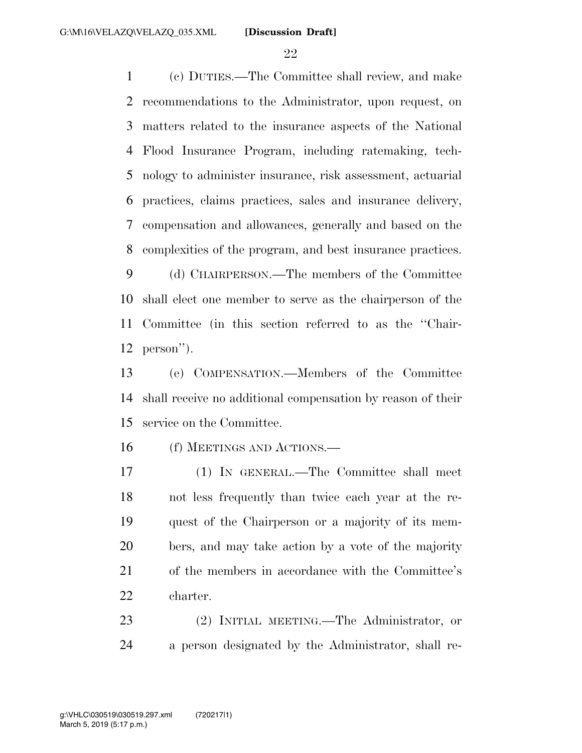(c) DUTIES.—The Committee shall review, and make recommendations to the Administrator, upon request, on matters related to the insurance aspects of the National Flood Insurance Program, including ratemaking, tech- nology to administer insurance, risk assessment, actuarial practices, claims practices, sales and insurance delivery, compensation and allowances, generally and based on the complexities of the program, and best insurance practices.

 (d) CHAIRPERSON.—The members of the Committee shall elect one member to serve as the chairperson of the Committee (in this section referred to as the ''Chair-person'').

 (e) COMPENSATION.—Members of the Committee shall receive no additional compensation by reason of their service on the Committee.

(f) MEETINGS AND ACTIONS.—

 (1) IN GENERAL.—The Committee shall meet not less frequently than twice each year at the re- quest of the Chairperson or a majority of its mem- bers, and may take action by a vote of the majority of the members in accordance with the Committee's charter.

 (2) INITIAL MEETING.—The Administrator, or a person designated by the Administrator, shall re-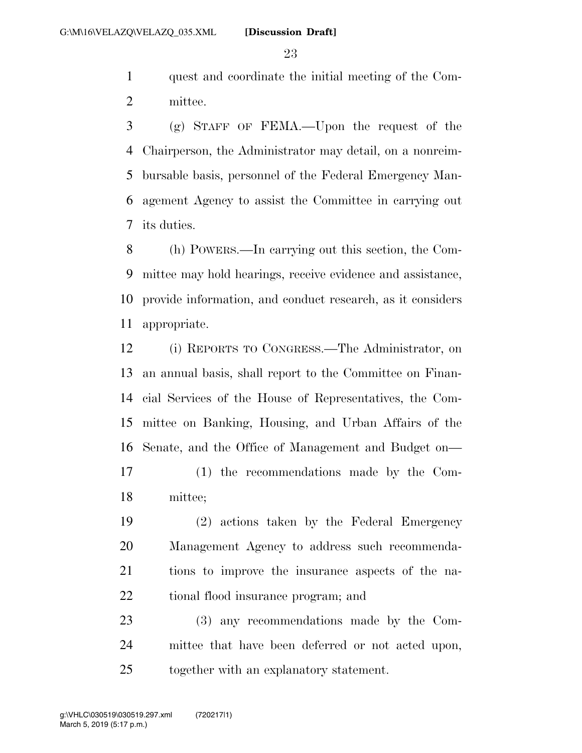quest and coordinate the initial meeting of the Com-mittee.

 (g) STAFF OF FEMA.—Upon the request of the Chairperson, the Administrator may detail, on a nonreim- bursable basis, personnel of the Federal Emergency Man- agement Agency to assist the Committee in carrying out its duties.

 (h) POWERS.—In carrying out this section, the Com- mittee may hold hearings, receive evidence and assistance, provide information, and conduct research, as it considers appropriate.

 (i) REPORTS TO CONGRESS.—The Administrator, on an annual basis, shall report to the Committee on Finan- cial Services of the House of Representatives, the Com- mittee on Banking, Housing, and Urban Affairs of the Senate, and the Office of Management and Budget on—

 (1) the recommendations made by the Com-mittee;

 (2) actions taken by the Federal Emergency Management Agency to address such recommenda- tions to improve the insurance aspects of the na-tional flood insurance program; and

 (3) any recommendations made by the Com- mittee that have been deferred or not acted upon, together with an explanatory statement.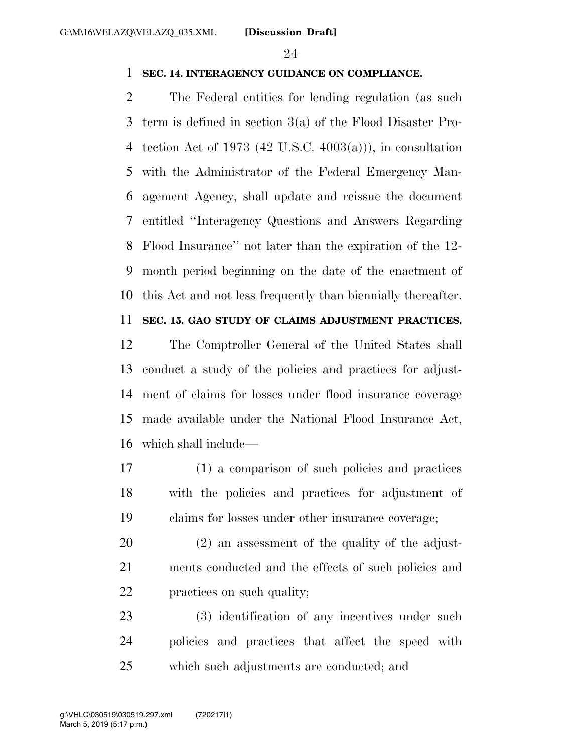#### **SEC. 14. INTERAGENCY GUIDANCE ON COMPLIANCE.**

 The Federal entities for lending regulation (as such term is defined in section 3(a) of the Flood Disaster Pro- tection Act of 1973 (42 U.S.C. 4003(a))), in consultation with the Administrator of the Federal Emergency Man- agement Agency, shall update and reissue the document entitled ''Interagency Questions and Answers Regarding Flood Insurance'' not later than the expiration of the 12- month period beginning on the date of the enactment of this Act and not less frequently than biennially thereafter.

### **SEC. 15. GAO STUDY OF CLAIMS ADJUSTMENT PRACTICES.**

 The Comptroller General of the United States shall conduct a study of the policies and practices for adjust- ment of claims for losses under flood insurance coverage made available under the National Flood Insurance Act, which shall include—

- (1) a comparison of such policies and practices with the policies and practices for adjustment of claims for losses under other insurance coverage;
- (2) an assessment of the quality of the adjust- ments conducted and the effects of such policies and practices on such quality;

 (3) identification of any incentives under such policies and practices that affect the speed with which such adjustments are conducted; and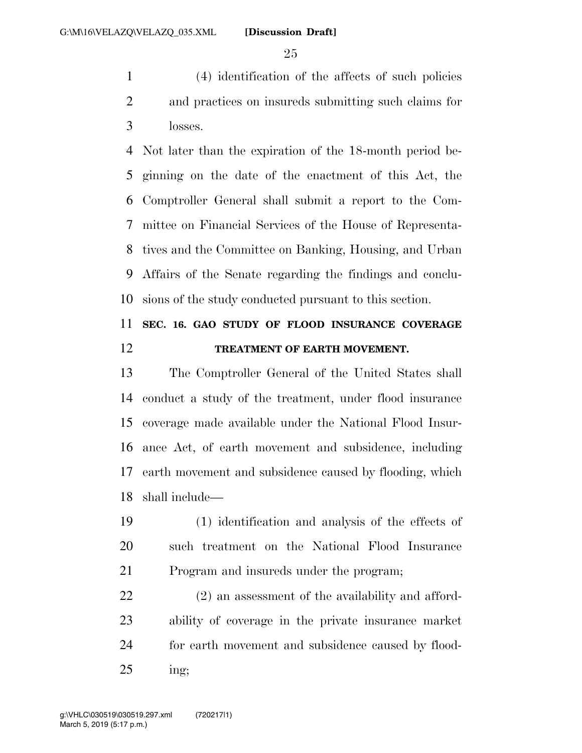(4) identification of the affects of such policies and practices on insureds submitting such claims for losses.

 Not later than the expiration of the 18-month period be- ginning on the date of the enactment of this Act, the Comptroller General shall submit a report to the Com- mittee on Financial Services of the House of Representa- tives and the Committee on Banking, Housing, and Urban Affairs of the Senate regarding the findings and conclu-sions of the study conducted pursuant to this section.

### **SEC. 16. GAO STUDY OF FLOOD INSURANCE COVERAGE TREATMENT OF EARTH MOVEMENT.**

 The Comptroller General of the United States shall conduct a study of the treatment, under flood insurance coverage made available under the National Flood Insur- ance Act, of earth movement and subsidence, including earth movement and subsidence caused by flooding, which shall include—

 (1) identification and analysis of the effects of such treatment on the National Flood Insurance Program and insureds under the program;

 (2) an assessment of the availability and afford- ability of coverage in the private insurance market for earth movement and subsidence caused by flood-ing;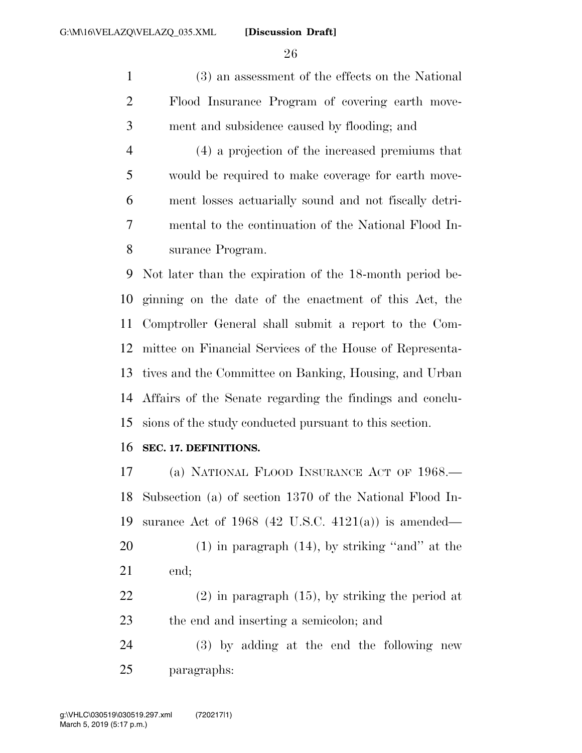(3) an assessment of the effects on the National Flood Insurance Program of covering earth move-ment and subsidence caused by flooding; and

 (4) a projection of the increased premiums that would be required to make coverage for earth move- ment losses actuarially sound and not fiscally detri- mental to the continuation of the National Flood In-surance Program.

 Not later than the expiration of the 18-month period be- ginning on the date of the enactment of this Act, the Comptroller General shall submit a report to the Com- mittee on Financial Services of the House of Representa- tives and the Committee on Banking, Housing, and Urban Affairs of the Senate regarding the findings and conclu-sions of the study conducted pursuant to this section.

#### **SEC. 17. DEFINITIONS.**

 (a) NATIONAL FLOOD INSURANCE ACT OF 1968.— Subsection (a) of section 1370 of the National Flood In- surance Act of 1968 (42 U.S.C. 4121(a)) is amended—  $(1)$  in paragraph  $(14)$ , by striking "and" at the end; (2) in paragraph (15), by striking the period at the end and inserting a semicolon; and

 (3) by adding at the end the following new paragraphs: